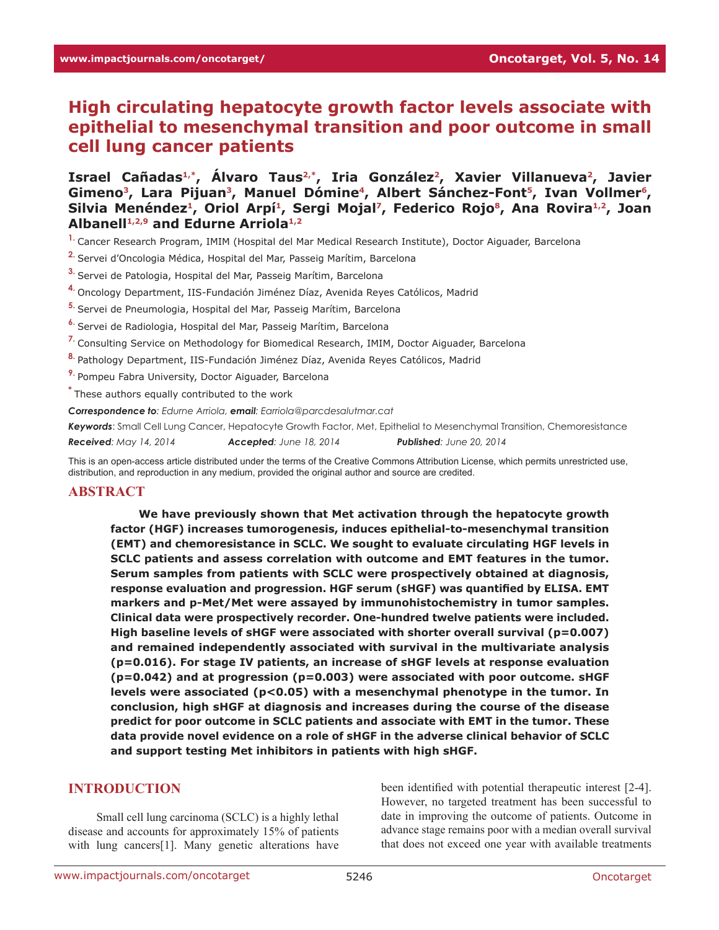# **High circulating hepatocyte growth factor levels associate with epithelial to mesenchymal transition and poor outcome in small cell lung cancer patients**

Israel Cañadas<sup>1,\*</sup>, Álvaro Taus<sup>2,\*</sup>, Iria González<sup>2</sup>, Xavier Villanueva<sup>2</sup>, Javier Gimeno<sup>3</sup>, Lara Pijuan<sup>3</sup>, Manuel Dómine<sup>4</sup>, Albert Sánchez-Font<sup>5</sup>, Ivan Vollmer<sup>6</sup>, Silvia Menéndez<sup>1</sup>, Oriol Arpí<sup>1</sup>, Sergi Mojal<sup>7</sup>, Federico Rojo<sup>8</sup>, Ana Rovira<sup>1,2</sup>, Joan **Albanell1,2,9 and Edurne Arriola1,2**

- **1.** Cancer Research Program, IMIM (Hospital del Mar Medical Research Institute), Doctor Aiguader, Barcelona
- **2.** Servei d'Oncologia Médica, Hospital del Mar, Passeig Marítim, Barcelona
- **3.** Servei de Patologia, Hospital del Mar, Passeig Marítim, Barcelona
- **4.** Oncology Department, IIS-Fundación Jiménez Díaz, Avenida Reyes Católicos, Madrid
- **5.** Servei de Pneumologia, Hospital del Mar, Passeig Marítim, Barcelona
- **6.** Servei de Radiologia, Hospital del Mar, Passeig Marítim, Barcelona
- **7.** Consulting Service on Methodology for Biomedical Research, IMIM, Doctor Aiguader, Barcelona
- **8.** Pathology Department, IIS-Fundación Jiménez Díaz, Avenida Reyes Católicos, Madrid
- **9.** Pompeu Fabra University, Doctor Aiguader, Barcelona
- **\*** These authors equally contributed to the work

*Correspondence to: Edurne Arriola, email: Earriola@parcdesalutmar.cat*

*Keywords*: Small Cell Lung Cancer, Hepatocyte Growth Factor, Met, Epithelial to Mesenchymal Transition, Chemoresistance

*Received: May 14, 2014 Accepted: June 18, 2014 Published: June 20, 2014*

This is an open-access article distributed under the terms of the Creative Commons Attribution License, which permits unrestricted use, distribution, and reproduction in any medium, provided the original author and source are credited.

#### **ABSTRACT**

**We have previously shown that Met activation through the hepatocyte growth factor (HGF) increases tumorogenesis, induces epithelial-to-mesenchymal transition (EMT) and chemoresistance in SCLC. We sought to evaluate circulating HGF levels in SCLC patients and assess correlation with outcome and EMT features in the tumor. Serum samples from patients with SCLC were prospectively obtained at diagnosis, response evaluation and progression. HGF serum (sHGF) was quantified by ELISA. EMT markers and p-Met/Met were assayed by immunohistochemistry in tumor samples. Clinical data were prospectively recorder. One-hundred twelve patients were included. High baseline levels of sHGF were associated with shorter overall survival (p=0.007) and remained independently associated with survival in the multivariate analysis (p=0.016). For stage IV patients, an increase of sHGF levels at response evaluation (p=0.042) and at progression (p=0.003) were associated with poor outcome. sHGF levels were associated (p<0.05) with a mesenchymal phenotype in the tumor. In conclusion, high sHGF at diagnosis and increases during the course of the disease predict for poor outcome in SCLC patients and associate with EMT in the tumor. These data provide novel evidence on a role of sHGF in the adverse clinical behavior of SCLC and support testing Met inhibitors in patients with high sHGF.** 

# **INTRODUCTION**

Small cell lung carcinoma (SCLC) is a highly lethal disease and accounts for approximately 15% of patients with lung cancers[1]. Many genetic alterations have

been identified with potential therapeutic interest [2-4]. However, no targeted treatment has been successful to date in improving the outcome of patients. Outcome in advance stage remains poor with a median overall survival that does not exceed one year with available treatments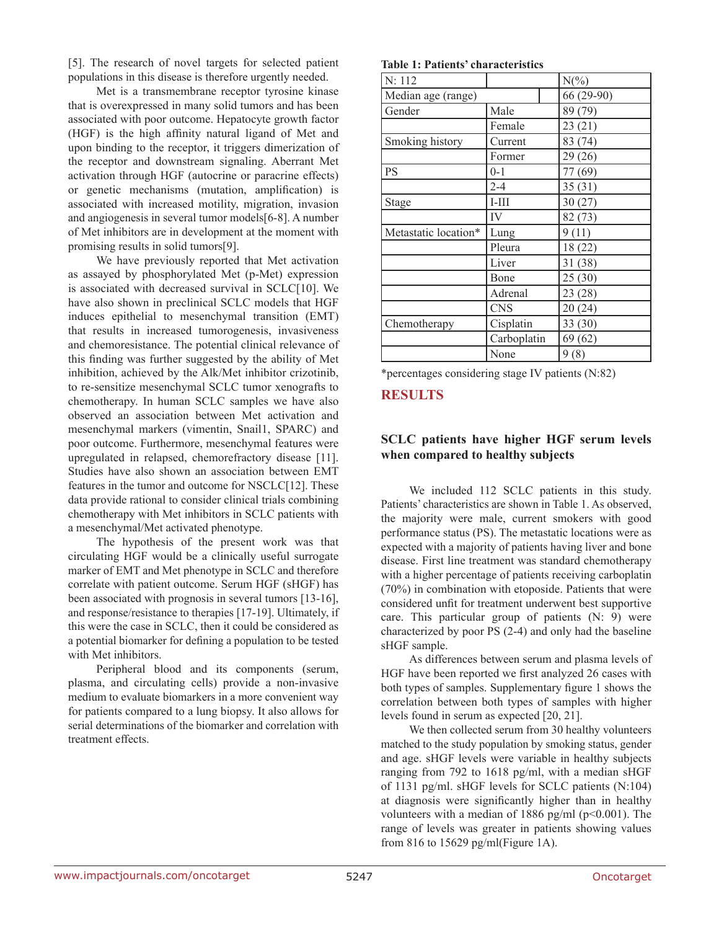[5]. The research of novel targets for selected patient populations in this disease is therefore urgently needed.

Met is a transmembrane receptor tyrosine kinase that is overexpressed in many solid tumors and has been associated with poor outcome. Hepatocyte growth factor (HGF) is the high affinity natural ligand of Met and upon binding to the receptor, it triggers dimerization of the receptor and downstream signaling. Aberrant Met activation through HGF (autocrine or paracrine effects) or genetic mechanisms (mutation, amplification) is associated with increased motility, migration, invasion and angiogenesis in several tumor models[6-8]. A number of Met inhibitors are in development at the moment with promising results in solid tumors[9].

We have previously reported that Met activation as assayed by phosphorylated Met (p-Met) expression is associated with decreased survival in SCLC[10]. We have also shown in preclinical SCLC models that HGF induces epithelial to mesenchymal transition (EMT) that results in increased tumorogenesis, invasiveness and chemoresistance. The potential clinical relevance of this finding was further suggested by the ability of Met inhibition, achieved by the Alk/Met inhibitor crizotinib, to re-sensitize mesenchymal SCLC tumor xenografts to chemotherapy. In human SCLC samples we have also observed an association between Met activation and mesenchymal markers (vimentin, Snail1, SPARC) and poor outcome. Furthermore, mesenchymal features were upregulated in relapsed, chemorefractory disease [11]. Studies have also shown an association between EMT features in the tumor and outcome for NSCLC[12]. These data provide rational to consider clinical trials combining chemotherapy with Met inhibitors in SCLC patients with a mesenchymal/Met activated phenotype.

The hypothesis of the present work was that circulating HGF would be a clinically useful surrogate marker of EMT and Met phenotype in SCLC and therefore correlate with patient outcome. Serum HGF (sHGF) has been associated with prognosis in several tumors [13-16], and response/resistance to therapies [17-19]. Ultimately, if this were the case in SCLC, then it could be considered as a potential biomarker for defining a population to be tested with Met inhibitors.

Peripheral blood and its components (serum, plasma, and circulating cells) provide a non-invasive medium to evaluate biomarkers in a more convenient way for patients compared to a lung biopsy. It also allows for serial determinations of the biomarker and correlation with treatment effects.

**Table 1: Patients' characteristics**

| N: 112               |             | $N(\%)$    |
|----------------------|-------------|------------|
| Median age (range)   |             | 66 (29-90) |
| Gender               | Male        | 89 (79)    |
|                      | Female      | 23(21)     |
| Smoking history      | Current     | 83 (74)    |
|                      | Former      | 29(26)     |
| <b>PS</b>            | $0 - 1$     | 77 (69)    |
|                      | $2 - 4$     | 35(31)     |
| Stage                | $I-III$     | 30(27)     |
|                      | IV          | 82 (73)    |
| Metastatic location* | Lung        | 9(11)      |
|                      | Pleura      | 18(22)     |
|                      | Liver       | 31 (38)    |
|                      | Bone        | 25(30)     |
|                      | Adrenal     | 23(28)     |
|                      | <b>CNS</b>  | 20(24)     |
| Chemotherapy         | Cisplatin   | 33(30)     |
|                      | Carboplatin | 69(62)     |
|                      | None        | 9(8)       |

\*percentages considering stage IV patients (N:82)

### **RESULTS**

### **SCLC patients have higher HGF serum levels when compared to healthy subjects**

We included 112 SCLC patients in this study. Patients' characteristics are shown in Table 1. As observed, the majority were male, current smokers with good performance status (PS). The metastatic locations were as expected with a majority of patients having liver and bone disease. First line treatment was standard chemotherapy with a higher percentage of patients receiving carboplatin (70%) in combination with etoposide. Patients that were considered unfit for treatment underwent best supportive care. This particular group of patients (N: 9) were characterized by poor PS (2-4) and only had the baseline sHGF sample.

As differences between serum and plasma levels of HGF have been reported we first analyzed 26 cases with both types of samples. Supplementary figure 1 shows the correlation between both types of samples with higher levels found in serum as expected [20, 21].

We then collected serum from 30 healthy volunteers matched to the study population by smoking status, gender and age. sHGF levels were variable in healthy subjects ranging from 792 to 1618 pg/ml, with a median sHGF of 1131 pg/ml. sHGF levels for SCLC patients (N:104) at diagnosis were significantly higher than in healthy volunteers with a median of 1886 pg/ml (p<0.001). The range of levels was greater in patients showing values from 816 to 15629 pg/ml(Figure 1A).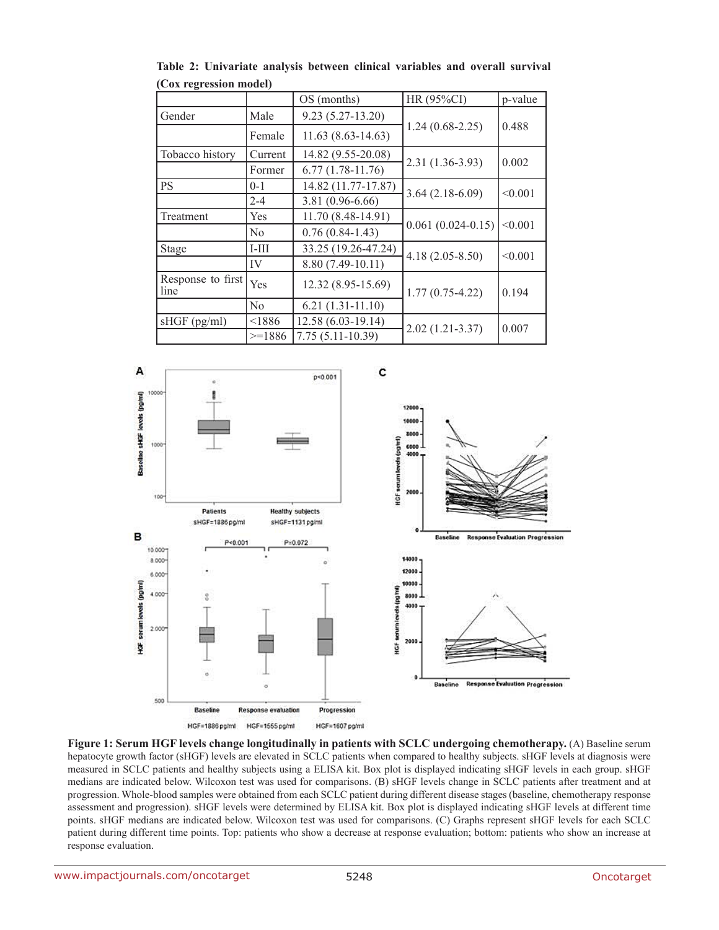|                           |                | OS (months)           | HR (95%CI)            | p-value |
|---------------------------|----------------|-----------------------|-----------------------|---------|
| Gender                    | Male           | $9.23(5.27-13.20)$    |                       | 0.488   |
|                           | Female         | $11.63(8.63 - 14.63)$ | $1.24(0.68-2.25)$     |         |
| Tobacco history           | Current        | 14.82 (9.55-20.08)    |                       | 0.002   |
|                           | Former         | $6.77(1.78-11.76)$    | 2.31 (1.36-3.93)      |         |
| <b>PS</b>                 | $0 - 1$        | 14.82 (11.77-17.87)   | $3.64(2.18-6.09)$     | < 0.001 |
|                           | $2 - 4$        | 3.81 (0.96-6.66)      |                       |         |
| Treatment                 | Yes            | 11.70 (8.48-14.91)    |                       | < 0.001 |
|                           | N <sub>0</sub> | $0.76(0.84-1.43)$     | $0.061(0.024 - 0.15)$ |         |
| Stage                     | $I-III$        | 33.25 (19.26-47.24)   | $4.18(2.05 - 8.50)$   | < 0.001 |
|                           | IV             | 8.80 (7.49-10.11)     |                       |         |
| Response to first<br>line | Yes            | 12.32 (8.95-15.69)    | $1.77(0.75-4.22)$     | 0.194   |
|                           | N <sub>0</sub> | $6.21(1.31-11.10)$    |                       |         |
| sHGF (pg/ml)              | < 1886         | 12.58 (6.03-19.14)    | $2.02(1.21-3.37)$     | 0.007   |
|                           | $>=1886$       | $7.75(5.11-10.39)$    |                       |         |

**Table 2: Univariate analysis between clinical variables and overall survival (Cox regression model)**



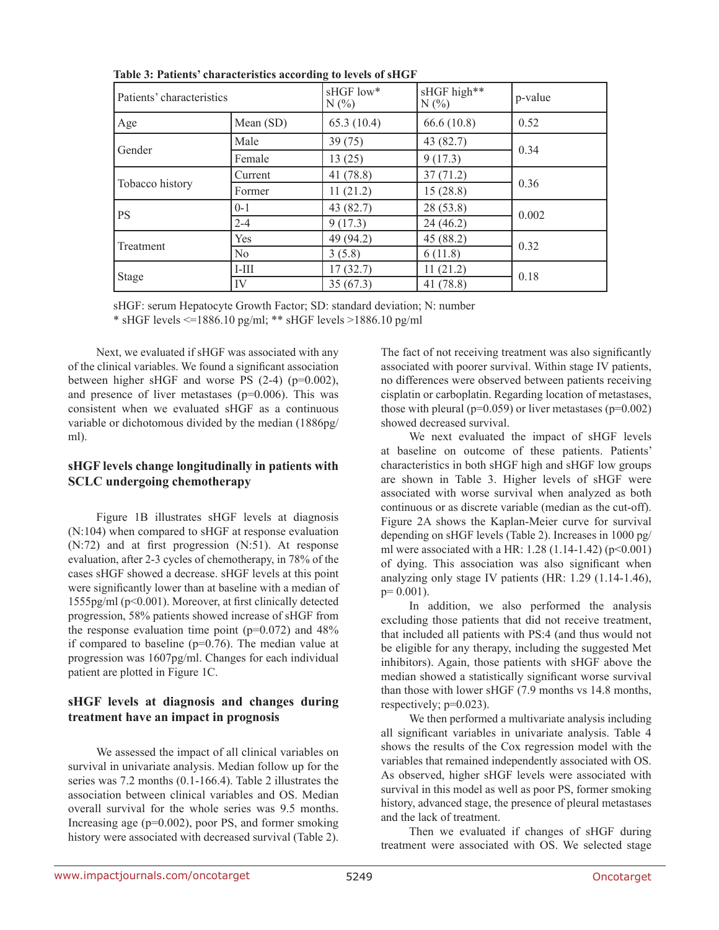| Patients' characteristics |             | sHGF low*<br>N(% | sHGF high**<br>N(% | p-value |
|---------------------------|-------------|------------------|--------------------|---------|
| Age                       | Mean $(SD)$ | 65.3(10.4)       | 66.6(10.8)         | 0.52    |
| Gender                    | Male        | 39(75)           | 43 (82.7)          |         |
|                           | Female      | 13(25)           | 9(17.3)            | 0.34    |
| Tobacco history           | Current     | 41 (78.8)        | 37(71.2)           |         |
|                           | Former      | 11(21.2)         | 15(28.8)           | 0.36    |
| <b>PS</b>                 | $0 - 1$     | 43 (82.7)        | 28 (53.8)          | 0.002   |
|                           | $2 - 4$     | 9(17.3)          | 24(46.2)           |         |
| Treatment                 | Yes         | 49 (94.2)        | 45 (88.2)          | 0.32    |
|                           | No          | 3(5.8)           | 6(11.8)            |         |
| Stage                     | $I-III$     | 17(32.7)         | 11(21.2)           | 0.18    |
|                           | IV          | 35(67.3)         | 41(78.8)           |         |

**Table 3: Patients' characteristics according to levels of sHGF**

sHGF: serum Hepatocyte Growth Factor; SD: standard deviation; N: number \* sHGF levels <=1886.10 pg/ml; \*\* sHGF levels >1886.10 pg/ml

Next, we evaluated if sHGF was associated with any of the clinical variables. We found a significant association between higher sHGF and worse PS (2-4) (p=0.002), and presence of liver metastases  $(p=0.006)$ . This was consistent when we evaluated sHGF as a continuous variable or dichotomous divided by the median (1886pg/ ml).

### **sHGF levels change longitudinally in patients with SCLC undergoing chemotherapy**

Figure 1B illustrates sHGF levels at diagnosis (N:104) when compared to sHGF at response evaluation (N:72) and at first progression (N:51). At response evaluation, after 2-3 cycles of chemotherapy, in 78% of the cases sHGF showed a decrease. sHGF levels at this point were significantly lower than at baseline with a median of 1555pg/ml (p<0.001). Moreover, at first clinically detected progression, 58% patients showed increase of sHGF from the response evaluation time point  $(p=0.072)$  and  $48%$ if compared to baseline  $(p=0.76)$ . The median value at progression was 1607pg/ml. Changes for each individual patient are plotted in Figure 1C.

# **sHGF levels at diagnosis and changes during treatment have an impact in prognosis**

We assessed the impact of all clinical variables on survival in univariate analysis. Median follow up for the series was 7.2 months (0.1-166.4). Table 2 illustrates the association between clinical variables and OS. Median overall survival for the whole series was 9.5 months. Increasing age (p=0.002), poor PS, and former smoking history were associated with decreased survival (Table 2).

The fact of not receiving treatment was also significantly associated with poorer survival. Within stage IV patients, no differences were observed between patients receiving cisplatin or carboplatin. Regarding location of metastases, those with pleural ( $p=0.059$ ) or liver metastases ( $p=0.002$ ) showed decreased survival.

We next evaluated the impact of sHGF levels at baseline on outcome of these patients. Patients' characteristics in both sHGF high and sHGF low groups are shown in Table 3. Higher levels of sHGF were associated with worse survival when analyzed as both continuous or as discrete variable (median as the cut-off). Figure 2A shows the Kaplan-Meier curve for survival depending on sHGF levels (Table 2). Increases in 1000 pg/ ml were associated with a HR:  $1.28$  (1.14-1.42) (p<0.001) of dying. This association was also significant when analyzing only stage IV patients (HR: 1.29 (1.14-1.46),  $p= 0.001$ ).

In addition, we also performed the analysis excluding those patients that did not receive treatment, that included all patients with PS:4 (and thus would not be eligible for any therapy, including the suggested Met inhibitors). Again, those patients with sHGF above the median showed a statistically significant worse survival than those with lower sHGF (7.9 months vs 14.8 months, respectively; p=0.023).

We then performed a multivariate analysis including all significant variables in univariate analysis. Table 4 shows the results of the Cox regression model with the variables that remained independently associated with OS. As observed, higher sHGF levels were associated with survival in this model as well as poor PS, former smoking history, advanced stage, the presence of pleural metastases and the lack of treatment.

Then we evaluated if changes of sHGF during treatment were associated with OS. We selected stage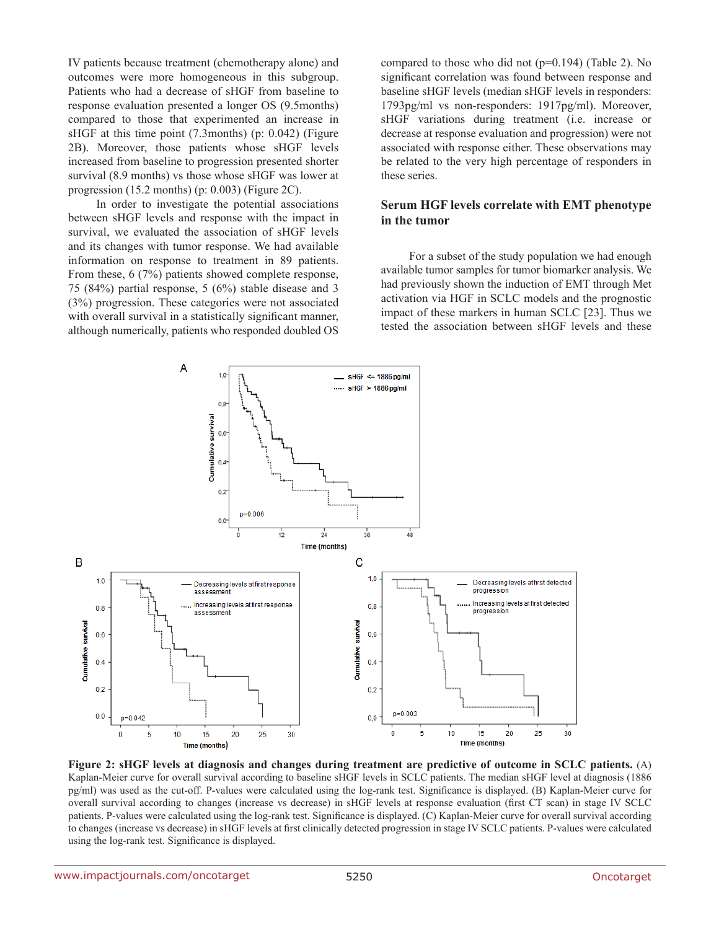IV patients because treatment (chemotherapy alone) and outcomes were more homogeneous in this subgroup. Patients who had a decrease of sHGF from baseline to response evaluation presented a longer OS (9.5months) compared to those that experimented an increase in sHGF at this time point (7.3months) (p: 0.042) (Figure 2B). Moreover, those patients whose sHGF levels increased from baseline to progression presented shorter survival (8.9 months) vs those whose sHGF was lower at progression (15.2 months) (p: 0.003) (Figure 2C).

In order to investigate the potential associations between sHGF levels and response with the impact in survival, we evaluated the association of sHGF levels and its changes with tumor response. We had available information on response to treatment in 89 patients. From these, 6 (7%) patients showed complete response, 75 (84%) partial response, 5 (6%) stable disease and 3 (3%) progression. These categories were not associated with overall survival in a statistically significant manner, although numerically, patients who responded doubled OS

compared to those who did not (p=0.194) (Table 2). No significant correlation was found between response and baseline sHGF levels (median sHGF levels in responders: 1793pg/ml vs non-responders: 1917pg/ml). Moreover, sHGF variations during treatment (i.e. increase or decrease at response evaluation and progression) were not associated with response either. These observations may be related to the very high percentage of responders in these series.

### **Serum HGF levels correlate with EMT phenotype in the tumor**

For a subset of the study population we had enough available tumor samples for tumor biomarker analysis. We had previously shown the induction of EMT through Met activation via HGF in SCLC models and the prognostic impact of these markers in human SCLC [23]. Thus we tested the association between sHGF levels and these



**Figure 2: sHGF levels at diagnosis and changes during treatment are predictive of outcome in SCLC patients.** (A) Kaplan-Meier curve for overall survival according to baseline sHGF levels in SCLC patients. The median sHGF level at diagnosis (1886) pg/ml) was used as the cut-off. P-values were calculated using the log-rank test. Significance is displayed. (B) Kaplan-Meier curve for overall survival according to changes (increase vs decrease) in sHGF levels at response evaluation (first CT scan) in stage IV SCLC patients. P-values were calculated using the log-rank test. Significance is displayed. (C) Kaplan-Meier curve for overall survival according to changes (increase vs decrease) in sHGF levels at first clinically detected progression in stage IV SCLC patients. P-values were calculated using the log-rank test. Significance is displayed.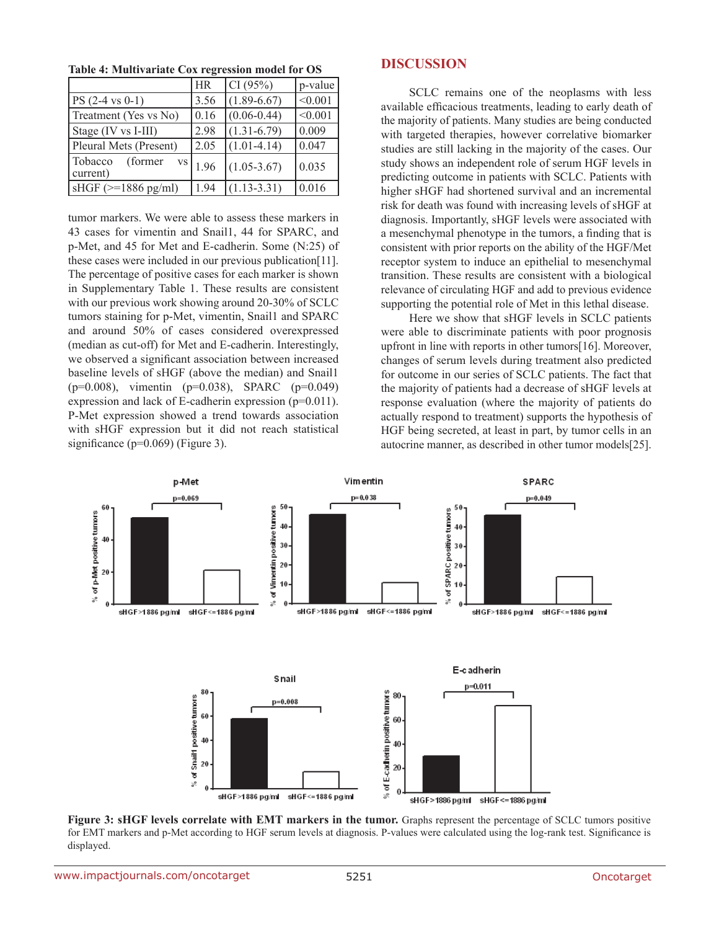**Table 4: Multivariate Cox regression model for OS**

|                                         | <b>HR</b> | CI(95%)         | $ p$ -value |
|-----------------------------------------|-----------|-----------------|-------------|
| $PS (2-4 vs 0-1)$                       | 3.56      | $(1.89 - 6.67)$ | < 0.001     |
| Treatment (Yes vs No)                   | 0.16      | $(0.06 - 0.44)$ | < 0.001     |
| Stage (IV vs I-III)                     | 2.98      | $(1.31 - 6.79)$ | 0.009       |
| Pleural Mets (Present)                  | 2.05      | $(1.01-4.14)$   | 0.047       |
| Tobacco<br>(former)<br>VS  <br>current) | 1.96      | $(1.05 - 3.67)$ | 0.035       |
| $\vert$ sHGF ( $\ge$ =1886 pg/ml)       | 194       | $(1.13 - 3.31)$ | 0.016       |

tumor markers. We were able to assess these markers in 43 cases for vimentin and Snail1, 44 for SPARC, and p-Met, and 45 for Met and E-cadherin. Some (N:25) of these cases were included in our previous publication[11]. The percentage of positive cases for each marker is shown in Supplementary Table 1. These results are consistent with our previous work showing around 20-30% of SCLC tumors staining for p-Met, vimentin, Snail1 and SPARC and around 50% of cases considered overexpressed (median as cut-off) for Met and E-cadherin. Interestingly, we observed a significant association between increased baseline levels of sHGF (above the median) and Snail1 (p=0.008), vimentin (p=0.038), SPARC (p=0.049) expression and lack of E-cadherin expression (p=0.011). P-Met expression showed a trend towards association with sHGF expression but it did not reach statistical significance (p=0.069) (Figure 3).

### **DISCUSSION**

SCLC remains one of the neoplasms with less available efficacious treatments, leading to early death of the majority of patients. Many studies are being conducted with targeted therapies, however correlative biomarker studies are still lacking in the majority of the cases. Our study shows an independent role of serum HGF levels in predicting outcome in patients with SCLC. Patients with higher sHGF had shortened survival and an incremental risk for death was found with increasing levels of sHGF at diagnosis. Importantly, sHGF levels were associated with a mesenchymal phenotype in the tumors, a finding that is consistent with prior reports on the ability of the HGF/Met receptor system to induce an epithelial to mesenchymal transition. These results are consistent with a biological relevance of circulating HGF and add to previous evidence supporting the potential role of Met in this lethal disease.

Here we show that sHGF levels in SCLC patients were able to discriminate patients with poor prognosis upfront in line with reports in other tumors[16]. Moreover, changes of serum levels during treatment also predicted for outcome in our series of SCLC patients. The fact that the majority of patients had a decrease of sHGF levels at response evaluation (where the majority of patients do actually respond to treatment) supports the hypothesis of HGF being secreted, at least in part, by tumor cells in an autocrine manner, as described in other tumor models[25].



**Figure 3: sHGF levels correlate with EMT markers in the tumor.** Graphs represent the percentage of SCLC tumors positive for EMT markers and p-Met according to HGF serum levels at diagnosis. P-values were calculated using the log-rank test. Significance is displayed.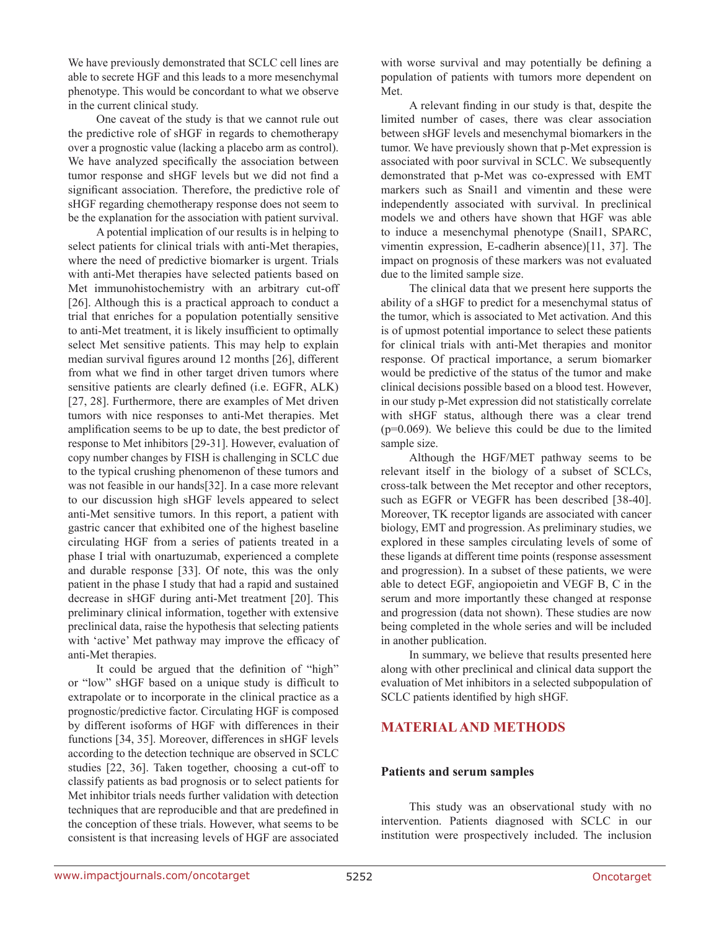We have previously demonstrated that SCLC cell lines are able to secrete HGF and this leads to a more mesenchymal phenotype. This would be concordant to what we observe in the current clinical study.

One caveat of the study is that we cannot rule out the predictive role of sHGF in regards to chemotherapy over a prognostic value (lacking a placebo arm as control). We have analyzed specifically the association between tumor response and sHGF levels but we did not find a significant association. Therefore, the predictive role of sHGF regarding chemotherapy response does not seem to be the explanation for the association with patient survival.

A potential implication of our results is in helping to select patients for clinical trials with anti-Met therapies, where the need of predictive biomarker is urgent. Trials with anti-Met therapies have selected patients based on Met immunohistochemistry with an arbitrary cut-off [26]. Although this is a practical approach to conduct a trial that enriches for a population potentially sensitive to anti-Met treatment, it is likely insufficient to optimally select Met sensitive patients. This may help to explain median survival figures around 12 months [26], different from what we find in other target driven tumors where sensitive patients are clearly defined (i.e. EGFR, ALK) [27, 28]. Furthermore, there are examples of Met driven tumors with nice responses to anti-Met therapies. Met amplification seems to be up to date, the best predictor of response to Met inhibitors [29-31]. However, evaluation of copy number changes by FISH is challenging in SCLC due to the typical crushing phenomenon of these tumors and was not feasible in our hands[32]. In a case more relevant to our discussion high sHGF levels appeared to select anti-Met sensitive tumors. In this report, a patient with gastric cancer that exhibited one of the highest baseline circulating HGF from a series of patients treated in a phase I trial with onartuzumab, experienced a complete and durable response [33]. Of note, this was the only patient in the phase I study that had a rapid and sustained decrease in sHGF during anti-Met treatment [20]. This preliminary clinical information, together with extensive preclinical data, raise the hypothesis that selecting patients with 'active' Met pathway may improve the efficacy of anti-Met therapies.

It could be argued that the definition of "high" or "low" sHGF based on a unique study is difficult to extrapolate or to incorporate in the clinical practice as a prognostic/predictive factor. Circulating HGF is composed by different isoforms of HGF with differences in their functions [34, 35]. Moreover, differences in sHGF levels according to the detection technique are observed in SCLC studies [22, 36]. Taken together, choosing a cut-off to classify patients as bad prognosis or to select patients for Met inhibitor trials needs further validation with detection techniques that are reproducible and that are predefined in the conception of these trials. However, what seems to be consistent is that increasing levels of HGF are associated with worse survival and may potentially be defining a population of patients with tumors more dependent on Met.

A relevant finding in our study is that, despite the limited number of cases, there was clear association between sHGF levels and mesenchymal biomarkers in the tumor. We have previously shown that p-Met expression is associated with poor survival in SCLC. We subsequently demonstrated that p-Met was co-expressed with EMT markers such as Snail1 and vimentin and these were independently associated with survival. In preclinical models we and others have shown that HGF was able to induce a mesenchymal phenotype (Snail1, SPARC, vimentin expression, E-cadherin absence)[11, 37]. The impact on prognosis of these markers was not evaluated due to the limited sample size.

The clinical data that we present here supports the ability of a sHGF to predict for a mesenchymal status of the tumor, which is associated to Met activation. And this is of upmost potential importance to select these patients for clinical trials with anti-Met therapies and monitor response. Of practical importance, a serum biomarker would be predictive of the status of the tumor and make clinical decisions possible based on a blood test. However, in our study p-Met expression did not statistically correlate with sHGF status, although there was a clear trend (p=0.069). We believe this could be due to the limited sample size.

Although the HGF/MET pathway seems to be relevant itself in the biology of a subset of SCLCs, cross-talk between the Met receptor and other receptors, such as EGFR or VEGFR has been described [38-40]. Moreover, TK receptor ligands are associated with cancer biology, EMT and progression. As preliminary studies, we explored in these samples circulating levels of some of these ligands at different time points (response assessment and progression). In a subset of these patients, we were able to detect EGF, angiopoietin and VEGF B, C in the serum and more importantly these changed at response and progression (data not shown). These studies are now being completed in the whole series and will be included in another publication.

In summary, we believe that results presented here along with other preclinical and clinical data support the evaluation of Met inhibitors in a selected subpopulation of SCLC patients identified by high sHGF.

# **MATERIAL AND METHODS**

#### **Patients and serum samples**

This study was an observational study with no intervention. Patients diagnosed with SCLC in our institution were prospectively included. The inclusion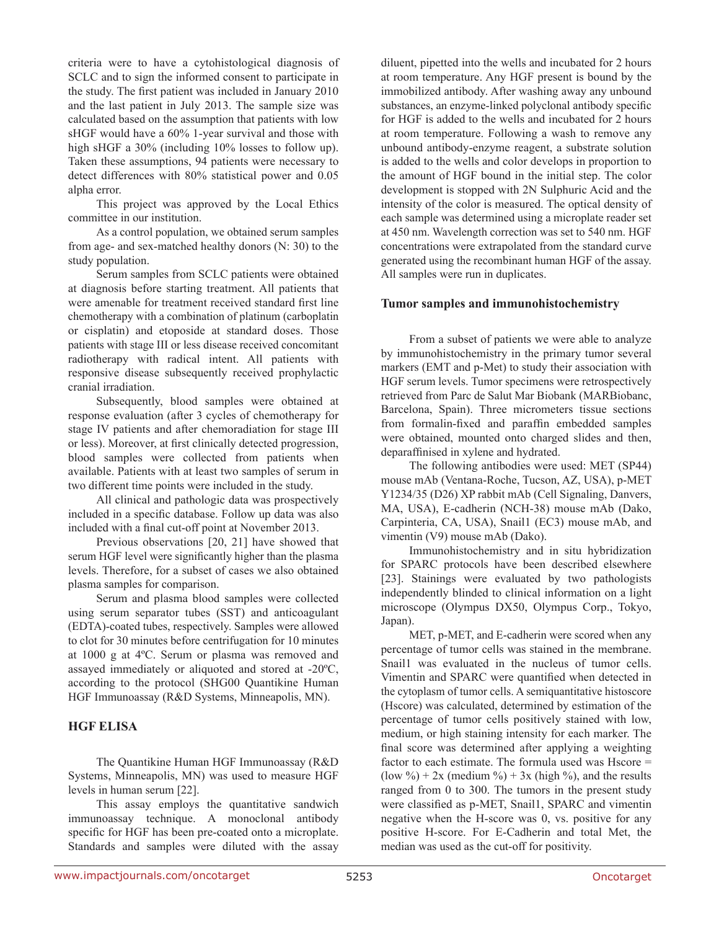criteria were to have a cytohistological diagnosis of SCLC and to sign the informed consent to participate in the study. The first patient was included in January 2010 and the last patient in July 2013. The sample size was calculated based on the assumption that patients with low sHGF would have a 60% 1-year survival and those with high sHGF a 30% (including 10% losses to follow up). Taken these assumptions, 94 patients were necessary to detect differences with 80% statistical power and 0.05 alpha error.

This project was approved by the Local Ethics committee in our institution.

As a control population, we obtained serum samples from age- and sex-matched healthy donors (N: 30) to the study population.

Serum samples from SCLC patients were obtained at diagnosis before starting treatment. All patients that were amenable for treatment received standard first line chemotherapy with a combination of platinum (carboplatin or cisplatin) and etoposide at standard doses. Those patients with stage III or less disease received concomitant radiotherapy with radical intent. All patients with responsive disease subsequently received prophylactic cranial irradiation.

Subsequently, blood samples were obtained at response evaluation (after 3 cycles of chemotherapy for stage IV patients and after chemoradiation for stage III or less). Moreover, at first clinically detected progression, blood samples were collected from patients when available. Patients with at least two samples of serum in two different time points were included in the study.

All clinical and pathologic data was prospectively included in a specific database. Follow up data was also included with a final cut-off point at November 2013.

Previous observations [20, 21] have showed that serum HGF level were significantly higher than the plasma levels. Therefore, for a subset of cases we also obtained plasma samples for comparison.

Serum and plasma blood samples were collected using serum separator tubes (SST) and anticoagulant (EDTA)-coated tubes, respectively. Samples were allowed to clot for 30 minutes before centrifugation for 10 minutes at 1000 g at 4ºC. Serum or plasma was removed and assayed immediately or aliquoted and stored at -20ºC, according to the protocol (SHG00 Quantikine Human HGF Immunoassay (R&D Systems, Minneapolis, MN).

### **HGF ELISA**

The Quantikine Human HGF Immunoassay (R&D Systems, Minneapolis, MN) was used to measure HGF levels in human serum [22].

This assay employs the quantitative sandwich immunoassay technique. A monoclonal antibody specific for HGF has been pre-coated onto a microplate. Standards and samples were diluted with the assay diluent, pipetted into the wells and incubated for 2 hours at room temperature. Any HGF present is bound by the immobilized antibody. After washing away any unbound substances, an enzyme-linked polyclonal antibody specific for HGF is added to the wells and incubated for 2 hours at room temperature. Following a wash to remove any unbound antibody-enzyme reagent, a substrate solution is added to the wells and color develops in proportion to the amount of HGF bound in the initial step. The color development is stopped with 2N Sulphuric Acid and the intensity of the color is measured. The optical density of each sample was determined using a microplate reader set at 450 nm. Wavelength correction was set to 540 nm. HGF concentrations were extrapolated from the standard curve generated using the recombinant human HGF of the assay. All samples were run in duplicates.

### **Tumor samples and immunohistochemistry**

From a subset of patients we were able to analyze by immunohistochemistry in the primary tumor several markers (EMT and p-Met) to study their association with HGF serum levels. Tumor specimens were retrospectively retrieved from Parc de Salut Mar Biobank (MARBiobanc, Barcelona, Spain). Three micrometers tissue sections from formalin-fixed and paraffin embedded samples were obtained, mounted onto charged slides and then, deparaffinised in xylene and hydrated.

The following antibodies were used: MET (SP44) mouse mAb (Ventana-Roche, Tucson, AZ, USA), p-MET Y1234/35 (D26) XP rabbit mAb (Cell Signaling, Danvers, MA, USA), E-cadherin (NCH-38) mouse mAb (Dako, Carpinteria, CA, USA), Snail1 (EC3) mouse mAb, and vimentin (V9) mouse mAb (Dako).

Immunohistochemistry and in situ hybridization for SPARC protocols have been described elsewhere [23]. Stainings were evaluated by two pathologists independently blinded to clinical information on a light microscope (Olympus DX50, Olympus Corp., Tokyo, Japan).

MET, p-MET, and E-cadherin were scored when any percentage of tumor cells was stained in the membrane. Snail1 was evaluated in the nucleus of tumor cells. Vimentin and SPARC were quantified when detected in the cytoplasm of tumor cells. A semiquantitative histoscore (Hscore) was calculated, determined by estimation of the percentage of tumor cells positively stained with low, medium, or high staining intensity for each marker. The final score was determined after applying a weighting factor to each estimate. The formula used was Hscore = (low %) + 2x (medium %) + 3x (high %), and the results ranged from 0 to 300. The tumors in the present study were classified as p-MET, Snail1, SPARC and vimentin negative when the H-score was 0, vs. positive for any positive H-score. For E-Cadherin and total Met, the median was used as the cut-off for positivity.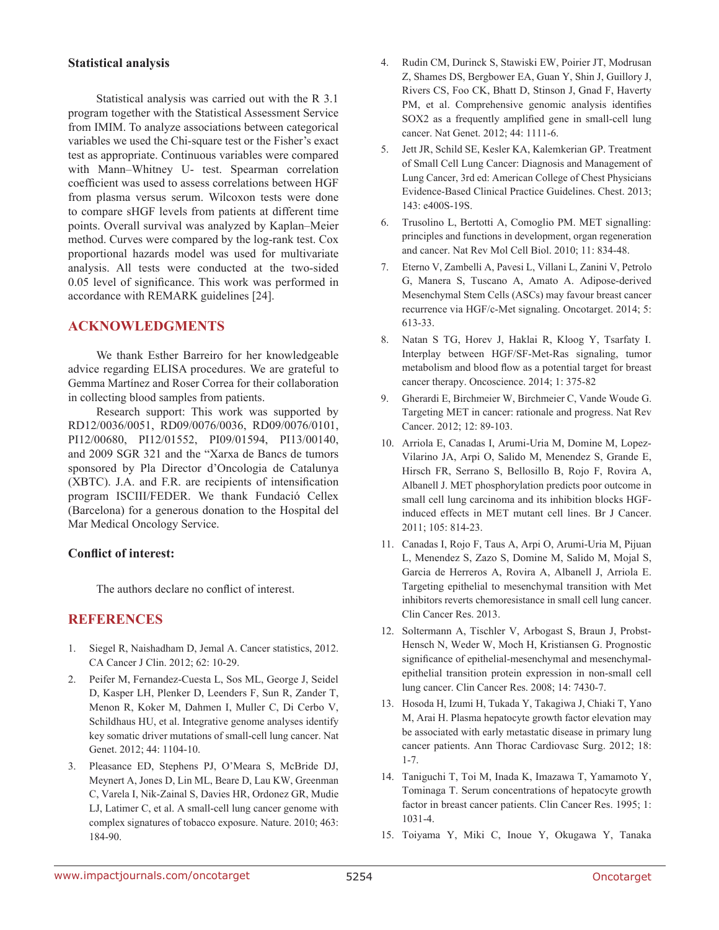### **Statistical analysis**

Statistical analysis was carried out with the R 3.1 program together with the Statistical Assessment Service from IMIM. To analyze associations between categorical variables we used the Chi-square test or the Fisher's exact test as appropriate. Continuous variables were compared with Mann–Whitney U- test. Spearman correlation coefficient was used to assess correlations between HGF from plasma versus serum. Wilcoxon tests were done to compare sHGF levels from patients at different time points. Overall survival was analyzed by Kaplan–Meier method. Curves were compared by the log-rank test. Cox proportional hazards model was used for multivariate analysis. All tests were conducted at the two-sided 0.05 level of significance. This work was performed in accordance with REMARK guidelines [24].

### **ACKNOWLEDGMENTS**

We thank Esther Barreiro for her knowledgeable advice regarding ELISA procedures. We are grateful to Gemma Martínez and Roser Correa for their collaboration in collecting blood samples from patients.

Research support: This work was supported by RD12/0036/0051, RD09/0076/0036, RD09/0076/0101, PI12/00680, PI12/01552, PI09/01594, PI13/00140, and 2009 SGR 321 and the "Xarxa de Bancs de tumors sponsored by Pla Director d'Oncologia de Catalunya (XBTC). J.A. and F.R. are recipients of intensification program ISCIII/FEDER. We thank Fundació Cellex (Barcelona) for a generous donation to the Hospital del Mar Medical Oncology Service.

### **Conflict of interest:**

The authors declare no conflict of interest.

# **REFERENCES**

- 1. Siegel R, Naishadham D, Jemal A. Cancer statistics, 2012. CA Cancer J Clin. 2012; 62: 10-29.
- 2. Peifer M, Fernandez-Cuesta L, Sos ML, George J, Seidel D, Kasper LH, Plenker D, Leenders F, Sun R, Zander T, Menon R, Koker M, Dahmen I, Muller C, Di Cerbo V, Schildhaus HU, et al. Integrative genome analyses identify key somatic driver mutations of small-cell lung cancer. Nat Genet. 2012; 44: 1104-10.
- 3. Pleasance ED, Stephens PJ, O'Meara S, McBride DJ, Meynert A, Jones D, Lin ML, Beare D, Lau KW, Greenman C, Varela I, Nik-Zainal S, Davies HR, Ordonez GR, Mudie LJ, Latimer C, et al. A small-cell lung cancer genome with complex signatures of tobacco exposure. Nature. 2010; 463: 184-90.
- 4. Rudin CM, Durinck S, Stawiski EW, Poirier JT, Modrusan Z, Shames DS, Bergbower EA, Guan Y, Shin J, Guillory J, Rivers CS, Foo CK, Bhatt D, Stinson J, Gnad F, Haverty PM, et al. Comprehensive genomic analysis identifies SOX2 as a frequently amplified gene in small-cell lung cancer. Nat Genet. 2012; 44: 1111-6.
- 5. Jett JR, Schild SE, Kesler KA, Kalemkerian GP. Treatment of Small Cell Lung Cancer: Diagnosis and Management of Lung Cancer, 3rd ed: American College of Chest Physicians Evidence-Based Clinical Practice Guidelines. Chest. 2013; 143: e400S-19S.
- 6. Trusolino L, Bertotti A, Comoglio PM. MET signalling: principles and functions in development, organ regeneration and cancer. Nat Rev Mol Cell Biol. 2010; 11: 834-48.
- 7. Eterno V, Zambelli A, Pavesi L, Villani L, Zanini V, Petrolo G, Manera S, Tuscano A, Amato A. Adipose-derived Mesenchymal Stem Cells (ASCs) may favour breast cancer recurrence via HGF/c-Met signaling. Oncotarget. 2014; 5: 613-33.
- 8. Natan S TG, Horev J, Haklai R, Kloog Y, Tsarfaty I. Interplay between HGF/SF-Met-Ras signaling, tumor metabolism and blood flow as a potential target for breast cancer therapy. Oncoscience. 2014; 1: 375-82
- 9. Gherardi E, Birchmeier W, Birchmeier C, Vande Woude G. Targeting MET in cancer: rationale and progress. Nat Rev Cancer. 2012; 12: 89-103.
- 10. Arriola E, Canadas I, Arumi-Uria M, Domine M, Lopez-Vilarino JA, Arpi O, Salido M, Menendez S, Grande E, Hirsch FR, Serrano S, Bellosillo B, Rojo F, Rovira A, Albanell J. MET phosphorylation predicts poor outcome in small cell lung carcinoma and its inhibition blocks HGFinduced effects in MET mutant cell lines. Br J Cancer. 2011; 105: 814-23.
- 11. Canadas I, Rojo F, Taus A, Arpi O, Arumi-Uria M, Pijuan L, Menendez S, Zazo S, Domine M, Salido M, Mojal S, Garcia de Herreros A, Rovira A, Albanell J, Arriola E. Targeting epithelial to mesenchymal transition with Met inhibitors reverts chemoresistance in small cell lung cancer. Clin Cancer Res. 2013.
- 12. Soltermann A, Tischler V, Arbogast S, Braun J, Probst-Hensch N, Weder W, Moch H, Kristiansen G. Prognostic significance of epithelial-mesenchymal and mesenchymalepithelial transition protein expression in non-small cell lung cancer. Clin Cancer Res. 2008; 14: 7430-7.
- 13. Hosoda H, Izumi H, Tukada Y, Takagiwa J, Chiaki T, Yano M, Arai H. Plasma hepatocyte growth factor elevation may be associated with early metastatic disease in primary lung cancer patients. Ann Thorac Cardiovasc Surg. 2012; 18: 1-7.
- 14. Taniguchi T, Toi M, Inada K, Imazawa T, Yamamoto Y, Tominaga T. Serum concentrations of hepatocyte growth factor in breast cancer patients. Clin Cancer Res. 1995; 1: 1031-4.
- 15. Toiyama Y, Miki C, Inoue Y, Okugawa Y, Tanaka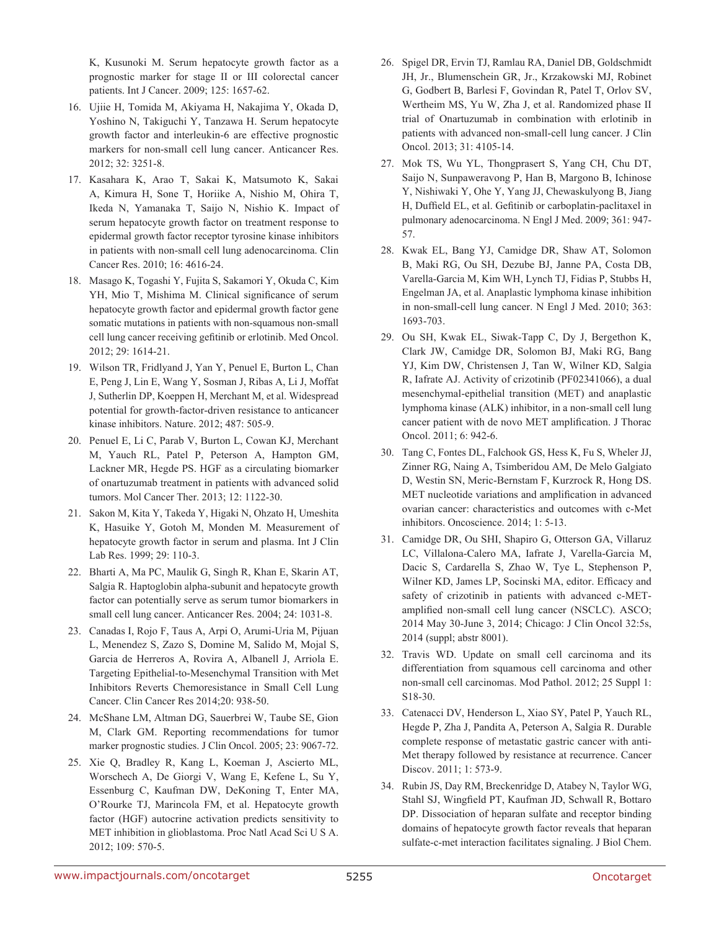K, Kusunoki M. Serum hepatocyte growth factor as a prognostic marker for stage II or III colorectal cancer patients. Int J Cancer. 2009; 125: 1657-62.

- 16. Ujiie H, Tomida M, Akiyama H, Nakajima Y, Okada D, Yoshino N, Takiguchi Y, Tanzawa H. Serum hepatocyte growth factor and interleukin-6 are effective prognostic markers for non-small cell lung cancer. Anticancer Res. 2012; 32: 3251-8.
- 17. Kasahara K, Arao T, Sakai K, Matsumoto K, Sakai A, Kimura H, Sone T, Horiike A, Nishio M, Ohira T, Ikeda N, Yamanaka T, Saijo N, Nishio K. Impact of serum hepatocyte growth factor on treatment response to epidermal growth factor receptor tyrosine kinase inhibitors in patients with non-small cell lung adenocarcinoma. Clin Cancer Res. 2010; 16: 4616-24.
- 18. Masago K, Togashi Y, Fujita S, Sakamori Y, Okuda C, Kim YH, Mio T, Mishima M. Clinical significance of serum hepatocyte growth factor and epidermal growth factor gene somatic mutations in patients with non-squamous non-small cell lung cancer receiving gefitinib or erlotinib. Med Oncol. 2012; 29: 1614-21.
- 19. Wilson TR, Fridlyand J, Yan Y, Penuel E, Burton L, Chan E, Peng J, Lin E, Wang Y, Sosman J, Ribas A, Li J, Moffat J, Sutherlin DP, Koeppen H, Merchant M, et al. Widespread potential for growth-factor-driven resistance to anticancer kinase inhibitors. Nature. 2012; 487: 505-9.
- 20. Penuel E, Li C, Parab V, Burton L, Cowan KJ, Merchant M, Yauch RL, Patel P, Peterson A, Hampton GM, Lackner MR, Hegde PS. HGF as a circulating biomarker of onartuzumab treatment in patients with advanced solid tumors. Mol Cancer Ther. 2013; 12: 1122-30.
- 21. Sakon M, Kita Y, Takeda Y, Higaki N, Ohzato H, Umeshita K, Hasuike Y, Gotoh M, Monden M. Measurement of hepatocyte growth factor in serum and plasma. Int J Clin Lab Res. 1999; 29: 110-3.
- 22. Bharti A, Ma PC, Maulik G, Singh R, Khan E, Skarin AT, Salgia R. Haptoglobin alpha-subunit and hepatocyte growth factor can potentially serve as serum tumor biomarkers in small cell lung cancer. Anticancer Res. 2004; 24: 1031-8.
- 23. Canadas I, Rojo F, Taus A, Arpi O, Arumi-Uria M, Pijuan L, Menendez S, Zazo S, Domine M, Salido M, Mojal S, Garcia de Herreros A, Rovira A, Albanell J, Arriola E. Targeting Epithelial-to-Mesenchymal Transition with Met Inhibitors Reverts Chemoresistance in Small Cell Lung Cancer. Clin Cancer Res 2014;20: 938-50.
- 24. McShane LM, Altman DG, Sauerbrei W, Taube SE, Gion M, Clark GM. Reporting recommendations for tumor marker prognostic studies. J Clin Oncol. 2005; 23: 9067-72.
- 25. Xie Q, Bradley R, Kang L, Koeman J, Ascierto ML, Worschech A, De Giorgi V, Wang E, Kefene L, Su Y, Essenburg C, Kaufman DW, DeKoning T, Enter MA, O'Rourke TJ, Marincola FM, et al. Hepatocyte growth factor (HGF) autocrine activation predicts sensitivity to MET inhibition in glioblastoma. Proc Natl Acad Sci U S A. 2012; 109: 570-5.
- 26. Spigel DR, Ervin TJ, Ramlau RA, Daniel DB, Goldschmidt JH, Jr., Blumenschein GR, Jr., Krzakowski MJ, Robinet G, Godbert B, Barlesi F, Govindan R, Patel T, Orlov SV, Wertheim MS, Yu W, Zha J, et al. Randomized phase II trial of Onartuzumab in combination with erlotinib in patients with advanced non-small-cell lung cancer. J Clin Oncol. 2013; 31: 4105-14.
- 27. Mok TS, Wu YL, Thongprasert S, Yang CH, Chu DT, Saijo N, Sunpaweravong P, Han B, Margono B, Ichinose Y, Nishiwaki Y, Ohe Y, Yang JJ, Chewaskulyong B, Jiang H, Duffield EL, et al. Gefitinib or carboplatin-paclitaxel in pulmonary adenocarcinoma. N Engl J Med. 2009; 361: 947- 57.
- 28. Kwak EL, Bang YJ, Camidge DR, Shaw AT, Solomon B, Maki RG, Ou SH, Dezube BJ, Janne PA, Costa DB, Varella-Garcia M, Kim WH, Lynch TJ, Fidias P, Stubbs H, Engelman JA, et al. Anaplastic lymphoma kinase inhibition in non-small-cell lung cancer. N Engl J Med. 2010; 363: 1693-703.
- 29. Ou SH, Kwak EL, Siwak-Tapp C, Dy J, Bergethon K, Clark JW, Camidge DR, Solomon BJ, Maki RG, Bang YJ, Kim DW, Christensen J, Tan W, Wilner KD, Salgia R, Iafrate AJ. Activity of crizotinib (PF02341066), a dual mesenchymal-epithelial transition (MET) and anaplastic lymphoma kinase (ALK) inhibitor, in a non-small cell lung cancer patient with de novo MET amplification. J Thorac Oncol. 2011; 6: 942-6.
- 30. Tang C, Fontes DL, Falchook GS, Hess K, Fu S, Wheler JJ, Zinner RG, Naing A, Tsimberidou AM, De Melo Galgiato D, Westin SN, Meric-Bernstam F, Kurzrock R, Hong DS. MET nucleotide variations and amplification in advanced ovarian cancer: characteristics and outcomes with c-Met inhibitors. Oncoscience. 2014; 1: 5-13.
- 31. Camidge DR, Ou SHI, Shapiro G, Otterson GA, Villaruz LC, Villalona-Calero MA, Iafrate J, Varella-Garcia M, Dacic S, Cardarella S, Zhao W, Tye L, Stephenson P, Wilner KD, James LP, Socinski MA, editor. Efficacy and safety of crizotinib in patients with advanced c-METamplified non-small cell lung cancer (NSCLC). ASCO; 2014 May 30-June 3, 2014; Chicago: J Clin Oncol 32:5s, 2014 (suppl; abstr 8001).
- 32. Travis WD. Update on small cell carcinoma and its differentiation from squamous cell carcinoma and other non-small cell carcinomas. Mod Pathol. 2012; 25 Suppl 1: S18-30.
- 33. Catenacci DV, Henderson L, Xiao SY, Patel P, Yauch RL, Hegde P, Zha J, Pandita A, Peterson A, Salgia R. Durable complete response of metastatic gastric cancer with anti-Met therapy followed by resistance at recurrence. Cancer Discov. 2011; 1: 573-9.
- 34. Rubin JS, Day RM, Breckenridge D, Atabey N, Taylor WG, Stahl SJ, Wingfield PT, Kaufman JD, Schwall R, Bottaro DP. Dissociation of heparan sulfate and receptor binding domains of hepatocyte growth factor reveals that heparan sulfate-c-met interaction facilitates signaling. J Biol Chem.